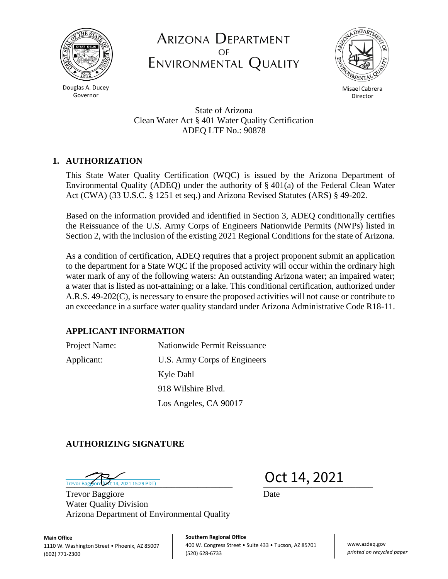

Douglas A. Ducey Governor

ARIZONA DEPARTMENT ENVIRONMENTAL QUALITY



Misael Cabrera Director

State of Arizona Clean Water Act § 401 Water Quality Certification ADEQ LTF No.: 90878

# **1. AUTHORIZATION**

This State Water Quality Certification (WQC) is issued by the Arizona Department of Environmental Quality (ADEQ) under the authority of  $\S$  401(a) of the Federal Clean Water Act (CWA) (33 U.S.C. § 1251 et seq.) and Arizona Revised Statutes (ARS) § 49-202.

Based on the information provided and identified in Section 3, ADEQ conditionally certifies the Reissuance of the U.S. Army Corps of Engineers Nationwide Permits (NWPs) listed in Section 2, with the inclusion of the existing 2021 Regional Conditions for the state of Arizona.

As a condition of certification, ADEQ requires that a project proponent submit an application to the department for a State WQC if the proposed activity will occur within the ordinary high water mark of any of the following waters: An outstanding Arizona water; an impaired water; a water that is listed as not-attaining; or a lake. This conditional certification, authorized under A.R.S. 49-202(C), is necessary to ensure the proposed activities will not cause or contribute to an exceedance in a surface water quality standard under Arizona Administrative Code R18-11.

## **APPLICANT INFORMATION**

Project Name: Nationwide Permit Reissuance Applicant: U.S. Army Corps of Engineers Kyle Dahl 918 Wilshire Blvd. Los Angeles, CA 90017

### **AUTHORIZING SIGNATURE**

Trevor Bagglord  $\overbrace{\text{Oct 14, 2021 15:29 PDT)}}$   $\overbrace{\text{Oct 14, 2021}}$ Trevor Baggiore (Oct 14, 2021 15:29 PDT)

Trevor Baggiore Date Water Quality Division Arizona Department of Environmental Quality

**Main Office** 1110 W. Washington Street . Phoenix, AZ 85007 (602) 771-2300

**Southern Regional Office** 400 W. Congress Street • Suite 433 • Tucson, AZ 85701 (520) 628-6733

www.azdeq.gov *printed on recycled paper*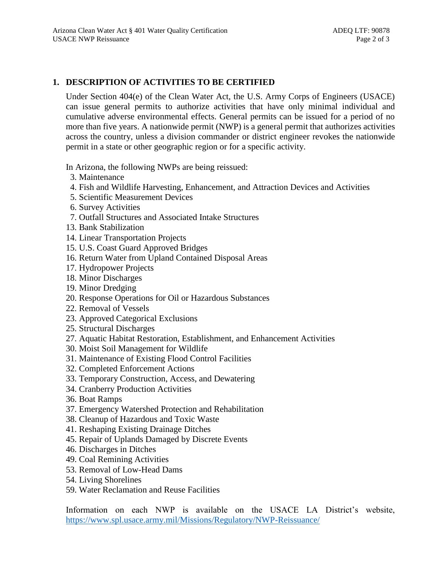### **1. DESCRIPTION OF ACTIVITIES TO BE CERTIFIED**

Under Section 404(e) of the Clean Water Act, the U.S. Army Corps of Engineers (USACE) can issue general permits to authorize activities that have only minimal individual and cumulative adverse environmental effects. General permits can be issued for a period of no more than five years. A nationwide permit (NWP) is a general permit that authorizes activities across the country, unless a division commander or district engineer revokes the nationwide permit in a state or other geographic region or for a specific activity.

In Arizona, the following NWPs are being reissued:

- 3. Maintenance
- 4. Fish and Wildlife Harvesting, Enhancement, and Attraction Devices and Activities
- 5. Scientific Measurement Devices
- 6. Survey Activities
- 7. Outfall Structures and Associated Intake Structures
- 13. Bank Stabilization
- 14. Linear Transportation Projects
- 15. U.S. Coast Guard Approved Bridges
- 16. Return Water from Upland Contained Disposal Areas
- 17. Hydropower Projects
- 18. Minor Discharges
- 19. Minor Dredging
- 20. Response Operations for Oil or Hazardous Substances
- 22. Removal of Vessels
- 23. Approved Categorical Exclusions
- 25. Structural Discharges
- 27. Aquatic Habitat Restoration, Establishment, and Enhancement Activities
- 30. Moist Soil Management for Wildlife
- 31. Maintenance of Existing Flood Control Facilities
- 32. Completed Enforcement Actions
- 33. Temporary Construction, Access, and Dewatering
- 34. Cranberry Production Activities
- 36. Boat Ramps
- 37. Emergency Watershed Protection and Rehabilitation
- 38. Cleanup of Hazardous and Toxic Waste
- 41. Reshaping Existing Drainage Ditches
- 45. Repair of Uplands Damaged by Discrete Events
- 46. Discharges in Ditches
- 49. Coal Remining Activities
- 53. Removal of Low-Head Dams
- 54. Living Shorelines
- 59. Water Reclamation and Reuse Facilities

Information on each NWP is available on the USACE LA District's website, <https://www.spl.usace.army.mil/Missions/Regulatory/NWP-Reissuance/>